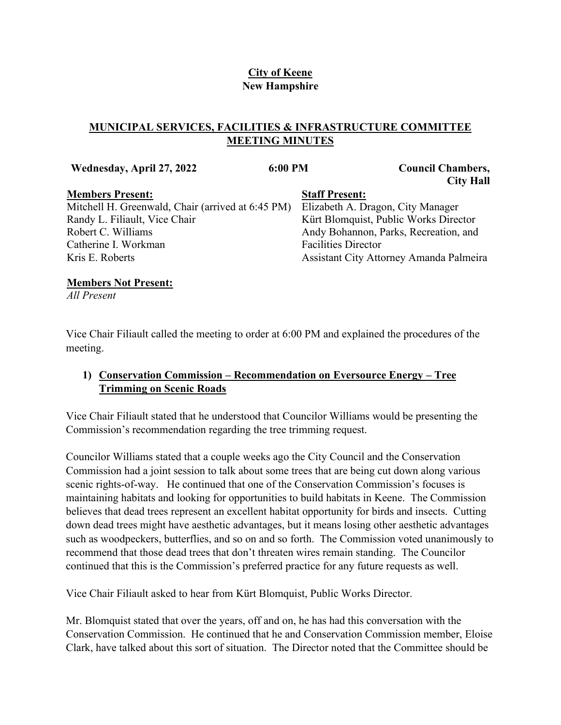# **City of Keene New Hampshire**

# **MUNICIPAL SERVICES, FACILITIES & INFRASTRUCTURE COMMITTEE MEETING MINUTES**

| Wednesday, April 27, 2022                         | 6:00 PM                    | <b>Council Chambers,</b><br><b>City Hall</b> |
|---------------------------------------------------|----------------------------|----------------------------------------------|
| <b>Members Present:</b>                           | <b>Staff Present:</b>      |                                              |
| Mitchell H. Greenwald, Chair (arrived at 6:45 PM) |                            | Elizabeth A. Dragon, City Manager            |
| Randy L. Filiault, Vice Chair                     |                            | Kürt Blomquist, Public Works Director        |
| Robert C. Williams                                |                            | Andy Bohannon, Parks, Recreation, and        |
| Catherine I. Workman                              | <b>Facilities Director</b> |                                              |
| Kris E. Roberts                                   |                            | Assistant City Attorney Amanda Palmeira      |

#### **Members Not Present:**

*All Present*

Vice Chair Filiault called the meeting to order at 6:00 PM and explained the procedures of the meeting.

### **1) Conservation Commission – Recommendation on Eversource Energy – Tree Trimming on Scenic Roads**

Vice Chair Filiault stated that he understood that Councilor Williams would be presenting the Commission's recommendation regarding the tree trimming request.

Councilor Williams stated that a couple weeks ago the City Council and the Conservation Commission had a joint session to talk about some trees that are being cut down along various scenic rights-of-way. He continued that one of the Conservation Commission's focuses is maintaining habitats and looking for opportunities to build habitats in Keene. The Commission believes that dead trees represent an excellent habitat opportunity for birds and insects. Cutting down dead trees might have aesthetic advantages, but it means losing other aesthetic advantages such as woodpeckers, butterflies, and so on and so forth. The Commission voted unanimously to recommend that those dead trees that don't threaten wires remain standing. The Councilor continued that this is the Commission's preferred practice for any future requests as well.

Vice Chair Filiault asked to hear from Kürt Blomquist, Public Works Director.

Mr. Blomquist stated that over the years, off and on, he has had this conversation with the Conservation Commission. He continued that he and Conservation Commission member, Eloise Clark, have talked about this sort of situation. The Director noted that the Committee should be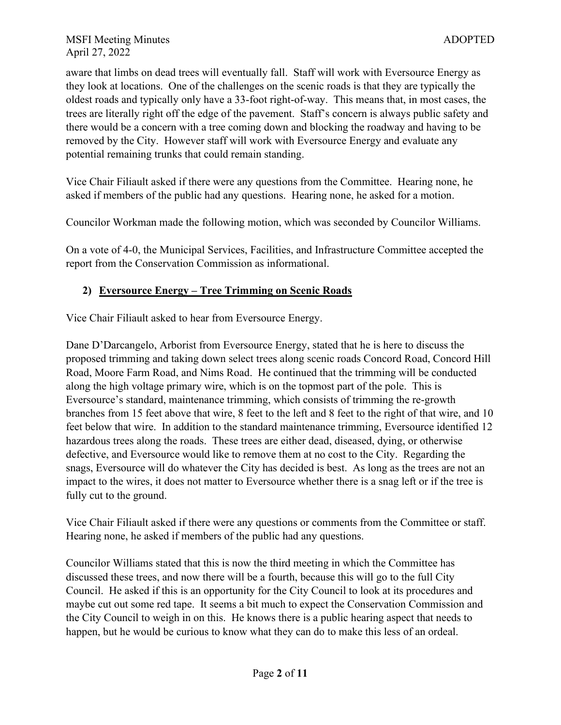aware that limbs on dead trees will eventually fall. Staff will work with Eversource Energy as they look at locations. One of the challenges on the scenic roads is that they are typically the oldest roads and typically only have a 33-foot right-of-way. This means that, in most cases, the trees are literally right off the edge of the pavement. Staff's concern is always public safety and there would be a concern with a tree coming down and blocking the roadway and having to be removed by the City. However staff will work with Eversource Energy and evaluate any potential remaining trunks that could remain standing.

Vice Chair Filiault asked if there were any questions from the Committee. Hearing none, he asked if members of the public had any questions. Hearing none, he asked for a motion.

Councilor Workman made the following motion, which was seconded by Councilor Williams.

On a vote of 4-0, the Municipal Services, Facilities, and Infrastructure Committee accepted the report from the Conservation Commission as informational.

### **2) Eversource Energy – Tree Trimming on Scenic Roads**

Vice Chair Filiault asked to hear from Eversource Energy.

Dane D'Darcangelo, Arborist from Eversource Energy, stated that he is here to discuss the proposed trimming and taking down select trees along scenic roads Concord Road, Concord Hill Road, Moore Farm Road, and Nims Road. He continued that the trimming will be conducted along the high voltage primary wire, which is on the topmost part of the pole. This is Eversource's standard, maintenance trimming, which consists of trimming the re-growth branches from 15 feet above that wire, 8 feet to the left and 8 feet to the right of that wire, and 10 feet below that wire. In addition to the standard maintenance trimming, Eversource identified 12 hazardous trees along the roads. These trees are either dead, diseased, dying, or otherwise defective, and Eversource would like to remove them at no cost to the City. Regarding the snags, Eversource will do whatever the City has decided is best. As long as the trees are not an impact to the wires, it does not matter to Eversource whether there is a snag left or if the tree is fully cut to the ground.

Vice Chair Filiault asked if there were any questions or comments from the Committee or staff. Hearing none, he asked if members of the public had any questions.

Councilor Williams stated that this is now the third meeting in which the Committee has discussed these trees, and now there will be a fourth, because this will go to the full City Council. He asked if this is an opportunity for the City Council to look at its procedures and maybe cut out some red tape. It seems a bit much to expect the Conservation Commission and the City Council to weigh in on this. He knows there is a public hearing aspect that needs to happen, but he would be curious to know what they can do to make this less of an ordeal.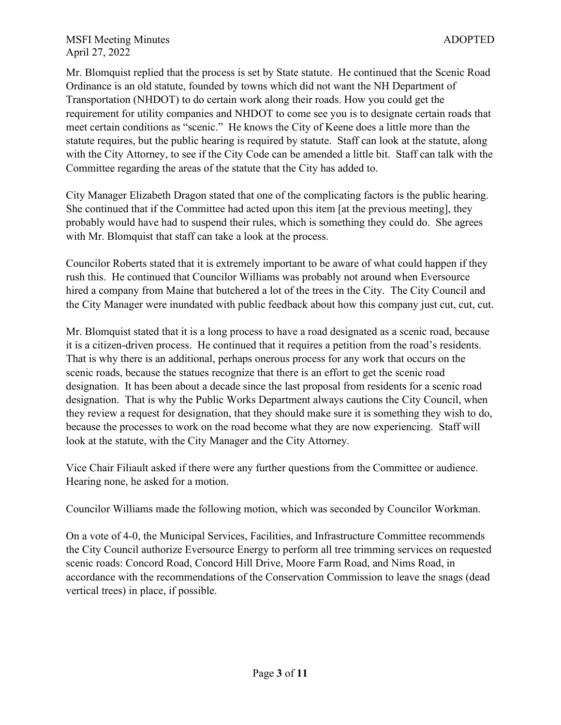Mr. Blomquist replied that the process is set by State statute. He continued that the Scenic Road Ordinance is an old statute, founded by towns which did not want the NH Department of Transportation (NHDOT) to do certain work along their roads. How you could get the requirement for utility companies and NHDOT to come see you is to designate certain roads that meet certain conditions as "scenic." He knows the City of Keene does a little more than the statute requires, but the public hearing is required by statute. Staff can look at the statute, along with the City Attorney, to see if the City Code can be amended a little bit. Staff can talk with the Committee regarding the areas of the statute that the City has added to.

City Manager Elizabeth Dragon stated that one of the complicating factors is the public hearing. She continued that if the Committee had acted upon this item [at the previous meeting], they probably would have had to suspend their rules, which is something they could do. She agrees with Mr. Blomquist that staff can take a look at the process.

Councilor Roberts stated that it is extremely important to be aware of what could happen if they rush this. He continued that Councilor Williams was probably not around when Eversource hired a company from Maine that butchered a lot of the trees in the City. The City Council and the City Manager were inundated with public feedback about how this company just cut, cut, cut.

Mr. Blomquist stated that it is a long process to have a road designated as a scenic road, because it is a citizen-driven process. He continued that it requires a petition from the road's residents. That is why there is an additional, perhaps onerous process for any work that occurs on the scenic roads, because the statues recognize that there is an effort to get the scenic road designation. It has been about a decade since the last proposal from residents for a scenic road designation. That is why the Public Works Department always cautions the City Council, when they review a request for designation, that they should make sure it is something they wish to do, because the processes to work on the road become what they are now experiencing. Staff will look at the statute, with the City Manager and the City Attorney.

Vice Chair Filiault asked if there were any further questions from the Committee or audience. Hearing none, he asked for a motion.

Councilor Williams made the following motion, which was seconded by Councilor Workman.

On a vote of 4-0, the Municipal Services, Facilities, and Infrastructure Committee recommends the City Council authorize Eversource Energy to perform all tree trimming services on requested scenic roads: Concord Road, Concord Hill Drive, Moore Farm Road, and Nims Road, in accordance with the recommendations of the Conservation Commission to leave the snags (dead vertical trees) in place, if possible.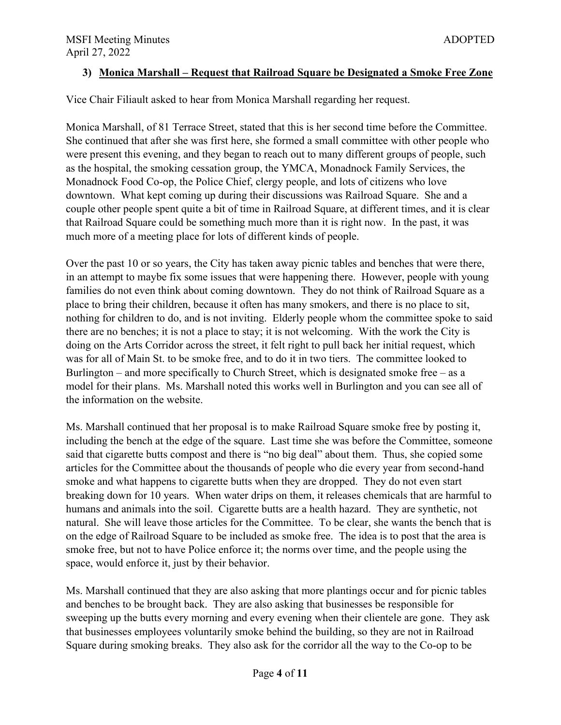### **3) Monica Marshall – Request that Railroad Square be Designated a Smoke Free Zone**

Vice Chair Filiault asked to hear from Monica Marshall regarding her request.

Monica Marshall, of 81 Terrace Street, stated that this is her second time before the Committee. She continued that after she was first here, she formed a small committee with other people who were present this evening, and they began to reach out to many different groups of people, such as the hospital, the smoking cessation group, the YMCA, Monadnock Family Services, the Monadnock Food Co-op, the Police Chief, clergy people, and lots of citizens who love downtown. What kept coming up during their discussions was Railroad Square. She and a couple other people spent quite a bit of time in Railroad Square, at different times, and it is clear that Railroad Square could be something much more than it is right now. In the past, it was much more of a meeting place for lots of different kinds of people.

Over the past 10 or so years, the City has taken away picnic tables and benches that were there, in an attempt to maybe fix some issues that were happening there. However, people with young families do not even think about coming downtown. They do not think of Railroad Square as a place to bring their children, because it often has many smokers, and there is no place to sit, nothing for children to do, and is not inviting. Elderly people whom the committee spoke to said there are no benches; it is not a place to stay; it is not welcoming. With the work the City is doing on the Arts Corridor across the street, it felt right to pull back her initial request, which was for all of Main St. to be smoke free, and to do it in two tiers. The committee looked to Burlington – and more specifically to Church Street, which is designated smoke free – as a model for their plans. Ms. Marshall noted this works well in Burlington and you can see all of the information on the website.

Ms. Marshall continued that her proposal is to make Railroad Square smoke free by posting it, including the bench at the edge of the square. Last time she was before the Committee, someone said that cigarette butts compost and there is "no big deal" about them. Thus, she copied some articles for the Committee about the thousands of people who die every year from second-hand smoke and what happens to cigarette butts when they are dropped. They do not even start breaking down for 10 years. When water drips on them, it releases chemicals that are harmful to humans and animals into the soil. Cigarette butts are a health hazard. They are synthetic, not natural. She will leave those articles for the Committee. To be clear, she wants the bench that is on the edge of Railroad Square to be included as smoke free. The idea is to post that the area is smoke free, but not to have Police enforce it; the norms over time, and the people using the space, would enforce it, just by their behavior.

Ms. Marshall continued that they are also asking that more plantings occur and for picnic tables and benches to be brought back. They are also asking that businesses be responsible for sweeping up the butts every morning and every evening when their clientele are gone. They ask that businesses employees voluntarily smoke behind the building, so they are not in Railroad Square during smoking breaks. They also ask for the corridor all the way to the Co-op to be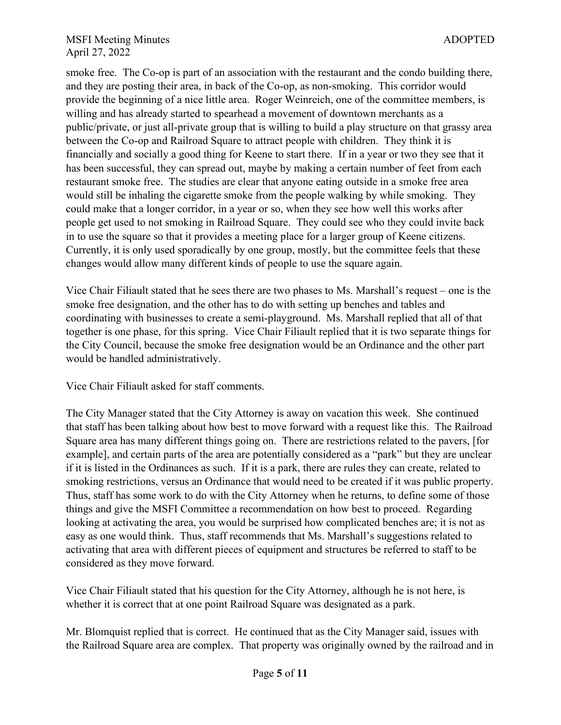smoke free. The Co-op is part of an association with the restaurant and the condo building there, and they are posting their area, in back of the Co-op, as non-smoking. This corridor would provide the beginning of a nice little area. Roger Weinreich, one of the committee members, is willing and has already started to spearhead a movement of downtown merchants as a public/private, or just all-private group that is willing to build a play structure on that grassy area between the Co-op and Railroad Square to attract people with children. They think it is financially and socially a good thing for Keene to start there. If in a year or two they see that it has been successful, they can spread out, maybe by making a certain number of feet from each restaurant smoke free. The studies are clear that anyone eating outside in a smoke free area would still be inhaling the cigarette smoke from the people walking by while smoking. They could make that a longer corridor, in a year or so, when they see how well this works after people get used to not smoking in Railroad Square. They could see who they could invite back in to use the square so that it provides a meeting place for a larger group of Keene citizens. Currently, it is only used sporadically by one group, mostly, but the committee feels that these changes would allow many different kinds of people to use the square again.

Vice Chair Filiault stated that he sees there are two phases to Ms. Marshall's request – one is the smoke free designation, and the other has to do with setting up benches and tables and coordinating with businesses to create a semi-playground. Ms. Marshall replied that all of that together is one phase, for this spring. Vice Chair Filiault replied that it is two separate things for the City Council, because the smoke free designation would be an Ordinance and the other part would be handled administratively.

Vice Chair Filiault asked for staff comments.

The City Manager stated that the City Attorney is away on vacation this week. She continued that staff has been talking about how best to move forward with a request like this. The Railroad Square area has many different things going on. There are restrictions related to the pavers, [for example], and certain parts of the area are potentially considered as a "park" but they are unclear if it is listed in the Ordinances as such. If it is a park, there are rules they can create, related to smoking restrictions, versus an Ordinance that would need to be created if it was public property. Thus, staff has some work to do with the City Attorney when he returns, to define some of those things and give the MSFI Committee a recommendation on how best to proceed. Regarding looking at activating the area, you would be surprised how complicated benches are; it is not as easy as one would think. Thus, staff recommends that Ms. Marshall's suggestions related to activating that area with different pieces of equipment and structures be referred to staff to be considered as they move forward.

Vice Chair Filiault stated that his question for the City Attorney, although he is not here, is whether it is correct that at one point Railroad Square was designated as a park.

Mr. Blomquist replied that is correct. He continued that as the City Manager said, issues with the Railroad Square area are complex. That property was originally owned by the railroad and in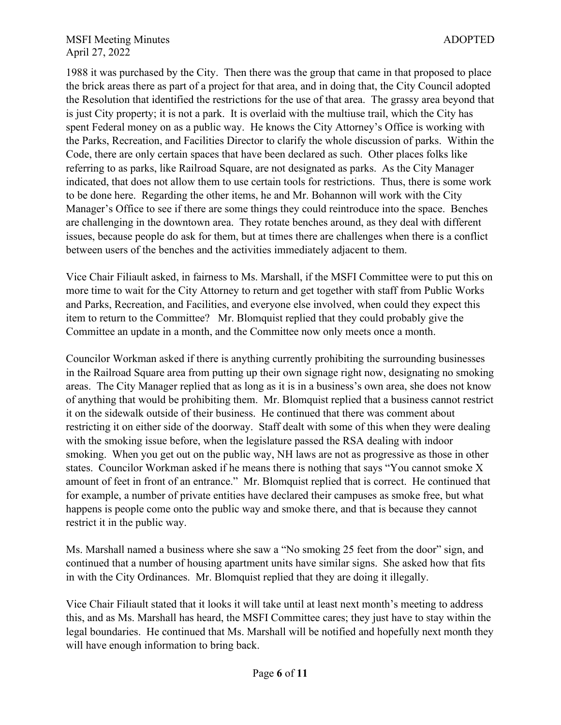1988 it was purchased by the City. Then there was the group that came in that proposed to place the brick areas there as part of a project for that area, and in doing that, the City Council adopted the Resolution that identified the restrictions for the use of that area. The grassy area beyond that is just City property; it is not a park. It is overlaid with the multiuse trail, which the City has spent Federal money on as a public way. He knows the City Attorney's Office is working with the Parks, Recreation, and Facilities Director to clarify the whole discussion of parks. Within the Code, there are only certain spaces that have been declared as such. Other places folks like referring to as parks, like Railroad Square, are not designated as parks. As the City Manager indicated, that does not allow them to use certain tools for restrictions. Thus, there is some work to be done here. Regarding the other items, he and Mr. Bohannon will work with the City Manager's Office to see if there are some things they could reintroduce into the space. Benches are challenging in the downtown area. They rotate benches around, as they deal with different issues, because people do ask for them, but at times there are challenges when there is a conflict between users of the benches and the activities immediately adjacent to them.

Vice Chair Filiault asked, in fairness to Ms. Marshall, if the MSFI Committee were to put this on more time to wait for the City Attorney to return and get together with staff from Public Works and Parks, Recreation, and Facilities, and everyone else involved, when could they expect this item to return to the Committee? Mr. Blomquist replied that they could probably give the Committee an update in a month, and the Committee now only meets once a month.

Councilor Workman asked if there is anything currently prohibiting the surrounding businesses in the Railroad Square area from putting up their own signage right now, designating no smoking areas. The City Manager replied that as long as it is in a business's own area, she does not know of anything that would be prohibiting them. Mr. Blomquist replied that a business cannot restrict it on the sidewalk outside of their business. He continued that there was comment about restricting it on either side of the doorway. Staff dealt with some of this when they were dealing with the smoking issue before, when the legislature passed the RSA dealing with indoor smoking. When you get out on the public way, NH laws are not as progressive as those in other states. Councilor Workman asked if he means there is nothing that says "You cannot smoke X amount of feet in front of an entrance." Mr. Blomquist replied that is correct. He continued that for example, a number of private entities have declared their campuses as smoke free, but what happens is people come onto the public way and smoke there, and that is because they cannot restrict it in the public way.

Ms. Marshall named a business where she saw a "No smoking 25 feet from the door" sign, and continued that a number of housing apartment units have similar signs. She asked how that fits in with the City Ordinances. Mr. Blomquist replied that they are doing it illegally.

Vice Chair Filiault stated that it looks it will take until at least next month's meeting to address this, and as Ms. Marshall has heard, the MSFI Committee cares; they just have to stay within the legal boundaries. He continued that Ms. Marshall will be notified and hopefully next month they will have enough information to bring back.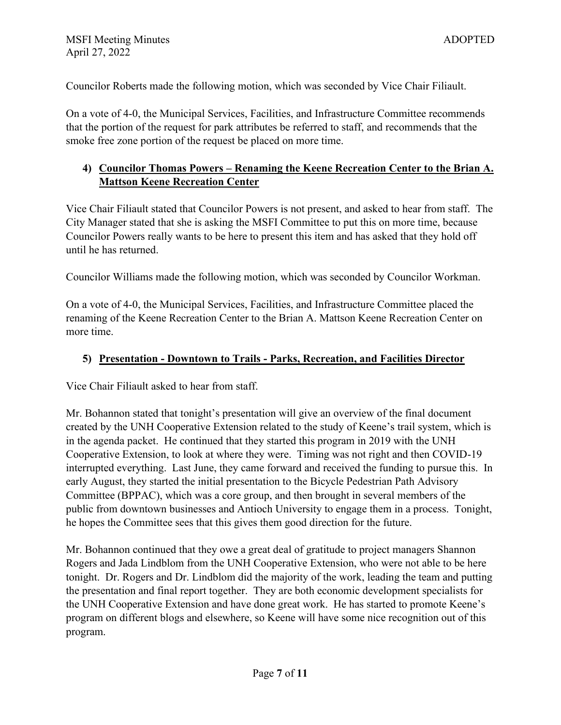Councilor Roberts made the following motion, which was seconded by Vice Chair Filiault.

On a vote of 4-0, the Municipal Services, Facilities, and Infrastructure Committee recommends that the portion of the request for park attributes be referred to staff, and recommends that the smoke free zone portion of the request be placed on more time.

# **4) Councilor Thomas Powers – Renaming the Keene Recreation Center to the Brian A. Mattson Keene Recreation Center**

Vice Chair Filiault stated that Councilor Powers is not present, and asked to hear from staff. The City Manager stated that she is asking the MSFI Committee to put this on more time, because Councilor Powers really wants to be here to present this item and has asked that they hold off until he has returned.

Councilor Williams made the following motion, which was seconded by Councilor Workman.

On a vote of 4-0, the Municipal Services, Facilities, and Infrastructure Committee placed the renaming of the Keene Recreation Center to the Brian A. Mattson Keene Recreation Center on more time.

# **5) Presentation - Downtown to Trails - Parks, Recreation, and Facilities Director**

Vice Chair Filiault asked to hear from staff.

Mr. Bohannon stated that tonight's presentation will give an overview of the final document created by the UNH Cooperative Extension related to the study of Keene's trail system, which is in the agenda packet. He continued that they started this program in 2019 with the UNH Cooperative Extension, to look at where they were. Timing was not right and then COVID-19 interrupted everything. Last June, they came forward and received the funding to pursue this. In early August, they started the initial presentation to the Bicycle Pedestrian Path Advisory Committee (BPPAC), which was a core group, and then brought in several members of the public from downtown businesses and Antioch University to engage them in a process. Tonight, he hopes the Committee sees that this gives them good direction for the future.

Mr. Bohannon continued that they owe a great deal of gratitude to project managers Shannon Rogers and Jada Lindblom from the UNH Cooperative Extension, who were not able to be here tonight. Dr. Rogers and Dr. Lindblom did the majority of the work, leading the team and putting the presentation and final report together. They are both economic development specialists for the UNH Cooperative Extension and have done great work. He has started to promote Keene's program on different blogs and elsewhere, so Keene will have some nice recognition out of this program.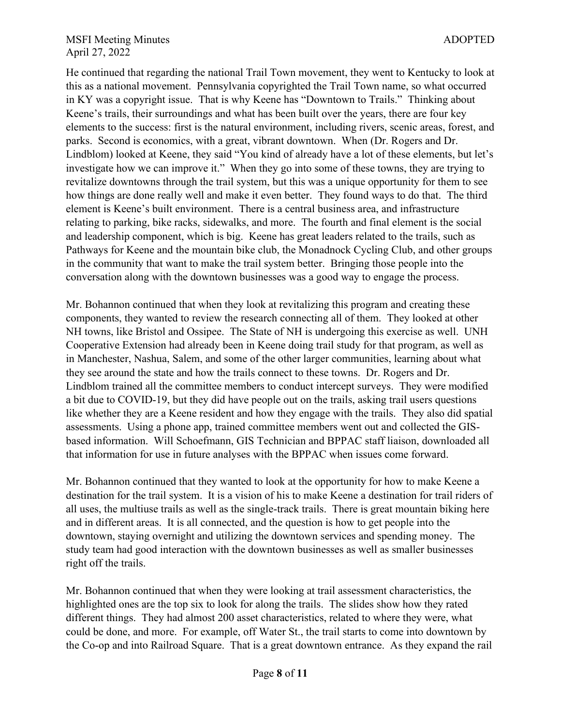He continued that regarding the national Trail Town movement, they went to Kentucky to look at this as a national movement. Pennsylvania copyrighted the Trail Town name, so what occurred in KY was a copyright issue. That is why Keene has "Downtown to Trails." Thinking about Keene's trails, their surroundings and what has been built over the years, there are four key elements to the success: first is the natural environment, including rivers, scenic areas, forest, and parks. Second is economics, with a great, vibrant downtown. When (Dr. Rogers and Dr. Lindblom) looked at Keene, they said "You kind of already have a lot of these elements, but let's investigate how we can improve it." When they go into some of these towns, they are trying to revitalize downtowns through the trail system, but this was a unique opportunity for them to see how things are done really well and make it even better. They found ways to do that. The third element is Keene's built environment. There is a central business area, and infrastructure relating to parking, bike racks, sidewalks, and more. The fourth and final element is the social and leadership component, which is big. Keene has great leaders related to the trails, such as Pathways for Keene and the mountain bike club, the Monadnock Cycling Club, and other groups in the community that want to make the trail system better. Bringing those people into the conversation along with the downtown businesses was a good way to engage the process.

Mr. Bohannon continued that when they look at revitalizing this program and creating these components, they wanted to review the research connecting all of them. They looked at other NH towns, like Bristol and Ossipee. The State of NH is undergoing this exercise as well. UNH Cooperative Extension had already been in Keene doing trail study for that program, as well as in Manchester, Nashua, Salem, and some of the other larger communities, learning about what they see around the state and how the trails connect to these towns. Dr. Rogers and Dr. Lindblom trained all the committee members to conduct intercept surveys. They were modified a bit due to COVID-19, but they did have people out on the trails, asking trail users questions like whether they are a Keene resident and how they engage with the trails. They also did spatial assessments. Using a phone app, trained committee members went out and collected the GISbased information. Will Schoefmann, GIS Technician and BPPAC staff liaison, downloaded all that information for use in future analyses with the BPPAC when issues come forward.

Mr. Bohannon continued that they wanted to look at the opportunity for how to make Keene a destination for the trail system. It is a vision of his to make Keene a destination for trail riders of all uses, the multiuse trails as well as the single-track trails. There is great mountain biking here and in different areas. It is all connected, and the question is how to get people into the downtown, staying overnight and utilizing the downtown services and spending money. The study team had good interaction with the downtown businesses as well as smaller businesses right off the trails.

Mr. Bohannon continued that when they were looking at trail assessment characteristics, the highlighted ones are the top six to look for along the trails. The slides show how they rated different things. They had almost 200 asset characteristics, related to where they were, what could be done, and more. For example, off Water St., the trail starts to come into downtown by the Co-op and into Railroad Square. That is a great downtown entrance. As they expand the rail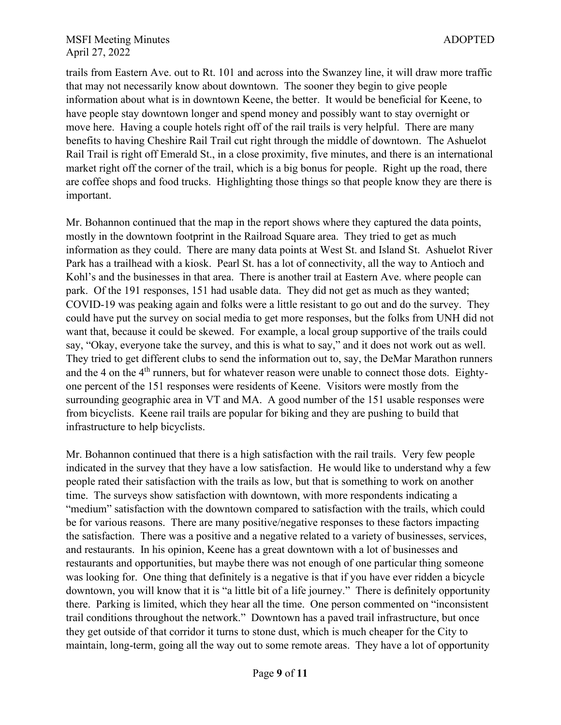trails from Eastern Ave. out to Rt. 101 and across into the Swanzey line, it will draw more traffic that may not necessarily know about downtown. The sooner they begin to give people information about what is in downtown Keene, the better. It would be beneficial for Keene, to have people stay downtown longer and spend money and possibly want to stay overnight or move here. Having a couple hotels right off of the rail trails is very helpful. There are many benefits to having Cheshire Rail Trail cut right through the middle of downtown. The Ashuelot Rail Trail is right off Emerald St., in a close proximity, five minutes, and there is an international market right off the corner of the trail, which is a big bonus for people. Right up the road, there are coffee shops and food trucks. Highlighting those things so that people know they are there is important.

Mr. Bohannon continued that the map in the report shows where they captured the data points, mostly in the downtown footprint in the Railroad Square area. They tried to get as much information as they could. There are many data points at West St. and Island St. Ashuelot River Park has a trailhead with a kiosk. Pearl St. has a lot of connectivity, all the way to Antioch and Kohl's and the businesses in that area. There is another trail at Eastern Ave. where people can park. Of the 191 responses, 151 had usable data. They did not get as much as they wanted; COVID-19 was peaking again and folks were a little resistant to go out and do the survey. They could have put the survey on social media to get more responses, but the folks from UNH did not want that, because it could be skewed. For example, a local group supportive of the trails could say, "Okay, everyone take the survey, and this is what to say," and it does not work out as well. They tried to get different clubs to send the information out to, say, the DeMar Marathon runners and the 4 on the  $4<sup>th</sup>$  runners, but for whatever reason were unable to connect those dots. Eightyone percent of the 151 responses were residents of Keene. Visitors were mostly from the surrounding geographic area in VT and MA. A good number of the 151 usable responses were from bicyclists. Keene rail trails are popular for biking and they are pushing to build that infrastructure to help bicyclists.

Mr. Bohannon continued that there is a high satisfaction with the rail trails. Very few people indicated in the survey that they have a low satisfaction. He would like to understand why a few people rated their satisfaction with the trails as low, but that is something to work on another time. The surveys show satisfaction with downtown, with more respondents indicating a "medium" satisfaction with the downtown compared to satisfaction with the trails, which could be for various reasons. There are many positive/negative responses to these factors impacting the satisfaction. There was a positive and a negative related to a variety of businesses, services, and restaurants. In his opinion, Keene has a great downtown with a lot of businesses and restaurants and opportunities, but maybe there was not enough of one particular thing someone was looking for. One thing that definitely is a negative is that if you have ever ridden a bicycle downtown, you will know that it is "a little bit of a life journey." There is definitely opportunity there. Parking is limited, which they hear all the time. One person commented on "inconsistent trail conditions throughout the network." Downtown has a paved trail infrastructure, but once they get outside of that corridor it turns to stone dust, which is much cheaper for the City to maintain, long-term, going all the way out to some remote areas. They have a lot of opportunity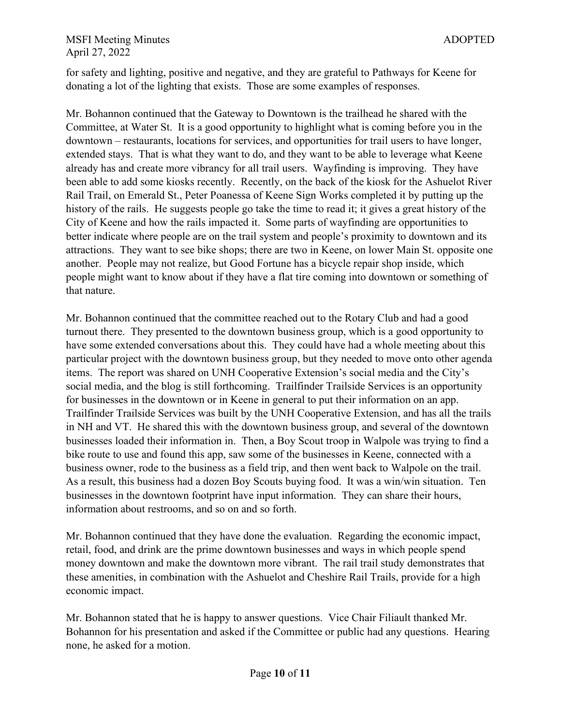for safety and lighting, positive and negative, and they are grateful to Pathways for Keene for donating a lot of the lighting that exists. Those are some examples of responses.

Mr. Bohannon continued that the Gateway to Downtown is the trailhead he shared with the Committee, at Water St. It is a good opportunity to highlight what is coming before you in the downtown – restaurants, locations for services, and opportunities for trail users to have longer, extended stays. That is what they want to do, and they want to be able to leverage what Keene already has and create more vibrancy for all trail users. Wayfinding is improving. They have been able to add some kiosks recently. Recently, on the back of the kiosk for the Ashuelot River Rail Trail, on Emerald St., Peter Poanessa of Keene Sign Works completed it by putting up the history of the rails. He suggests people go take the time to read it; it gives a great history of the City of Keene and how the rails impacted it. Some parts of wayfinding are opportunities to better indicate where people are on the trail system and people's proximity to downtown and its attractions. They want to see bike shops; there are two in Keene, on lower Main St. opposite one another. People may not realize, but Good Fortune has a bicycle repair shop inside, which people might want to know about if they have a flat tire coming into downtown or something of that nature.

Mr. Bohannon continued that the committee reached out to the Rotary Club and had a good turnout there. They presented to the downtown business group, which is a good opportunity to have some extended conversations about this. They could have had a whole meeting about this particular project with the downtown business group, but they needed to move onto other agenda items. The report was shared on UNH Cooperative Extension's social media and the City's social media, and the blog is still forthcoming. Trailfinder Trailside Services is an opportunity for businesses in the downtown or in Keene in general to put their information on an app. Trailfinder Trailside Services was built by the UNH Cooperative Extension, and has all the trails in NH and VT. He shared this with the downtown business group, and several of the downtown businesses loaded their information in. Then, a Boy Scout troop in Walpole was trying to find a bike route to use and found this app, saw some of the businesses in Keene, connected with a business owner, rode to the business as a field trip, and then went back to Walpole on the trail. As a result, this business had a dozen Boy Scouts buying food. It was a win/win situation. Ten businesses in the downtown footprint have input information. They can share their hours, information about restrooms, and so on and so forth.

Mr. Bohannon continued that they have done the evaluation. Regarding the economic impact, retail, food, and drink are the prime downtown businesses and ways in which people spend money downtown and make the downtown more vibrant. The rail trail study demonstrates that these amenities, in combination with the Ashuelot and Cheshire Rail Trails, provide for a high economic impact.

Mr. Bohannon stated that he is happy to answer questions. Vice Chair Filiault thanked Mr. Bohannon for his presentation and asked if the Committee or public had any questions. Hearing none, he asked for a motion.